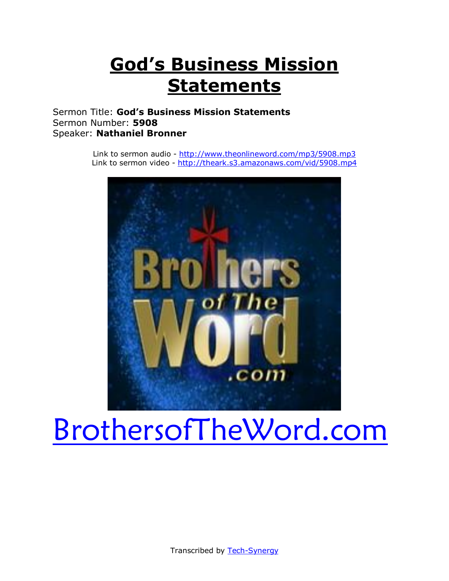## **God's Business Mission Statements**

Sermon Title: **God's Business Mission Statements** Sermon Number: **5908** Speaker: **Nathaniel Bronner**

> Link to sermon audio - <http://www.theonlineword.com/mp3/5908.mp3> Link to sermon video - <http://theark.s3.amazonaws.com/vid/5908.mp4>



# [BrothersofTheWord.com](http://www.brothersoftheword.com/)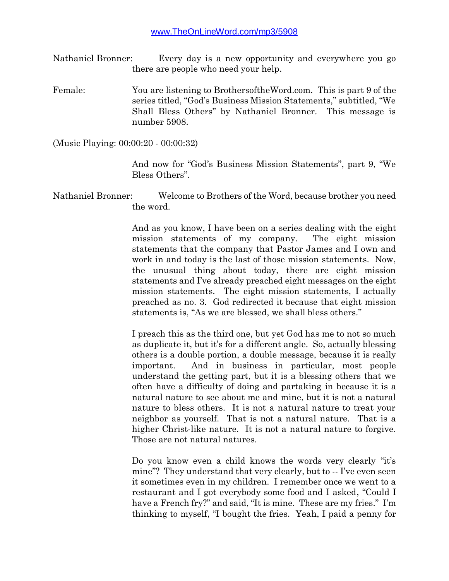- Nathaniel Bronner: Every day is a new opportunity and everywhere you go there are people who need your help.
- Female: You are listening to BrothersoftheWord.com. This is part 9 of the series titled, "God's Business Mission Statements," subtitled, "We Shall Bless Others" by Nathaniel Bronner. This message is number 5908.

(Music Playing: 00:00:20 - 00:00:32)

And now for "God's Business Mission Statements", part 9, "We Bless Others".

Nathaniel Bronner: Welcome to Brothers of the Word, because brother you need the word.

> And as you know, I have been on a series dealing with the eight mission statements of my company. The eight mission statements that the company that Pastor James and I own and work in and today is the last of those mission statements. Now, the unusual thing about today, there are eight mission statements and I've already preached eight messages on the eight mission statements. The eight mission statements, I actually preached as no. 3. God redirected it because that eight mission statements is, "As we are blessed, we shall bless others."

> I preach this as the third one, but yet God has me to not so much as duplicate it, but it's for a different angle. So, actually blessing others is a double portion, a double message, because it is really important. And in business in particular, most people understand the getting part, but it is a blessing others that we often have a difficulty of doing and partaking in because it is a natural nature to see about me and mine, but it is not a natural nature to bless others. It is not a natural nature to treat your neighbor as yourself. That is not a natural nature. That is a higher Christ-like nature. It is not a natural nature to forgive. Those are not natural natures.

> Do you know even a child knows the words very clearly "it's mine"? They understand that very clearly, but to -- I've even seen it sometimes even in my children. I remember once we went to a restaurant and I got everybody some food and I asked, "Could I have a French fry?" and said, "It is mine. These are my fries." I'm thinking to myself, "I bought the fries. Yeah, I paid a penny for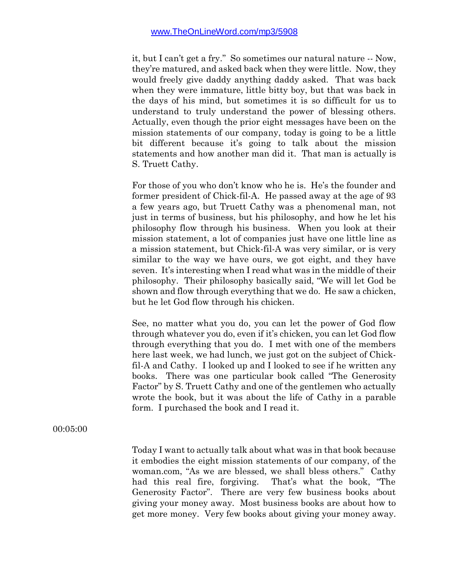it, but I can't get a fry." So sometimes our natural nature -- Now, they're matured, and asked back when they were little. Now, they would freely give daddy anything daddy asked. That was back when they were immature, little bitty boy, but that was back in the days of his mind, but sometimes it is so difficult for us to understand to truly understand the power of blessing others. Actually, even though the prior eight messages have been on the mission statements of our company, today is going to be a little bit different because it's going to talk about the mission statements and how another man did it. That man is actually is S. Truett Cathy.

For those of you who don't know who he is. He's the founder and former president of Chick-fil-A. He passed away at the age of 93 a few years ago, but Truett Cathy was a phenomenal man, not just in terms of business, but his philosophy, and how he let his philosophy flow through his business. When you look at their mission statement, a lot of companies just have one little line as a mission statement, but Chick-fil-A was very similar, or is very similar to the way we have ours, we got eight, and they have seven. It's interesting when I read what was in the middle of their philosophy. Their philosophy basically said, "We will let God be shown and flow through everything that we do. He saw a chicken, but he let God flow through his chicken.

See, no matter what you do, you can let the power of God flow through whatever you do, even if it's chicken, you can let God flow through everything that you do. I met with one of the members here last week, we had lunch, we just got on the subject of Chickfil-A and Cathy. I looked up and I looked to see if he written any books. There was one particular book called "The Generosity Factor" by S. Truett Cathy and one of the gentlemen who actually wrote the book, but it was about the life of Cathy in a parable form. I purchased the book and I read it.

00:05:00

Today I want to actually talk about what was in that book because it embodies the eight mission statements of our company, of the woman.com, "As we are blessed, we shall bless others." Cathy had this real fire, forgiving. That's what the book, "The Generosity Factor". There are very few business books about giving your money away. Most business books are about how to get more money. Very few books about giving your money away.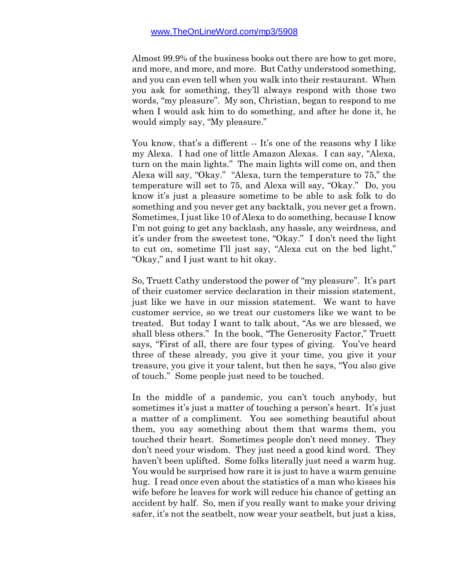Almost 99.9% of the business books out there are how to get more, and more, and more, and more. But Cathy understood something, and you can even tell when you walk into their restaurant. When you ask for something, they'll always respond with those two words, "my pleasure". My son, Christian, began to respond to me when I would ask him to do something, and after he done it, he would simply say, "My pleasure."

You know, that's a different  $\cdot$ -It's one of the reasons why I like my Alexa. I had one of little Amazon Alexas. I can say, "Alexa, turn on the main lights." The main lights will come on, and then Alexa will say, "Okay." "Alexa, turn the temperature to 75," the temperature will set to 75, and Alexa will say, "Okay." Do, you know it's just a pleasure sometime to be able to ask folk to do something and you never get any backtalk, you never get a frown. Sometimes, I just like 10 of Alexa to do something, because I know I'm not going to get any backlash, any hassle, any weirdness, and it's under from the sweetest tone, "Okay." I don't need the light to cut on, sometime I'll just say, "Alexa cut on the bed light," "Okay," and I just want to hit okay.

So, Truett Cathy understood the power of "my pleasure". It's part of their customer service declaration in their mission statement, just like we have in our mission statement. We want to have customer service, so we treat our customers like we want to be treated. But today I want to talk about, "As we are blessed, we shall bless others." In the book, "The Generosity Factor," Truett says, "First of all, there are four types of giving. You've heard three of these already, you give it your time, you give it your treasure, you give it your talent, but then he says, "You also give of touch." Some people just need to be touched.

In the middle of a pandemic, you can't touch anybody, but sometimes it's just a matter of touching a person's heart. It's just a matter of a compliment. You see something beautiful about them, you say something about them that warms them, you touched their heart. Sometimes people don't need money. They don't need your wisdom. They just need a good kind word. They haven't been uplifted. Some folks literally just need a warm hug. You would be surprised how rare it is just to have a warm genuine hug. I read once even about the statistics of a man who kisses his wife before he leaves for work will reduce his chance of getting an accident by half. So, men if you really want to make your driving safer, it's not the seatbelt, now wear your seatbelt, but just a kiss,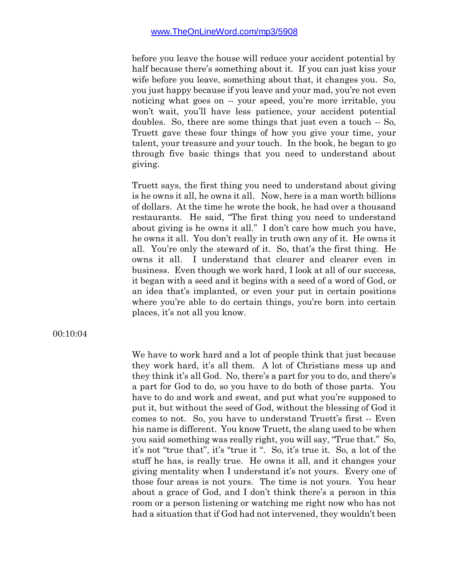before you leave the house will reduce your accident potential by half because there's something about it. If you can just kiss your wife before you leave, something about that, it changes you. So, you just happy because if you leave and your mad, you're not even noticing what goes on -- your speed, you're more irritable, you won't wait, you'll have less patience, your accident potential doubles. So, there are some things that just even a touch -- So, Truett gave these four things of how you give your time, your talent, your treasure and your touch. In the book, he began to go through five basic things that you need to understand about giving.

Truett says, the first thing you need to understand about giving is he owns it all, he owns it all. Now, here is a man worth billions of dollars. At the time he wrote the book, he had over a thousand restaurants. He said, "The first thing you need to understand about giving is he owns it all." I don't care how much you have, he owns it all. You don't really in truth own any of it. He owns it all. You're only the steward of it. So, that's the first thing. He owns it all. I understand that clearer and clearer even in business. Even though we work hard, I look at all of our success, it began with a seed and it begins with a seed of a word of God, or an idea that's implanted, or even your put in certain positions where you're able to do certain things, you're born into certain places, it's not all you know.

00:10:04

We have to work hard and a lot of people think that just because they work hard, it's all them. A lot of Christians mess up and they think it's all God. No, there's a part for you to do, and there's a part for God to do, so you have to do both of those parts. You have to do and work and sweat, and put what you're supposed to put it, but without the seed of God, without the blessing of God it comes to not. So, you have to understand Truett's first -- Even his name is different. You know Truett, the slang used to be when you said something was really right, you will say, "True that." So, it's not "true that", it's "true it ". So, it's true it. So, a lot of the stuff he has, is really true. He owns it all, and it changes your giving mentality when I understand it's not yours. Every one of those four areas is not yours. The time is not yours. You hear about a grace of God, and I don't think there's a person in this room or a person listening or watching me right now who has not had a situation that if God had not intervened, they wouldn't been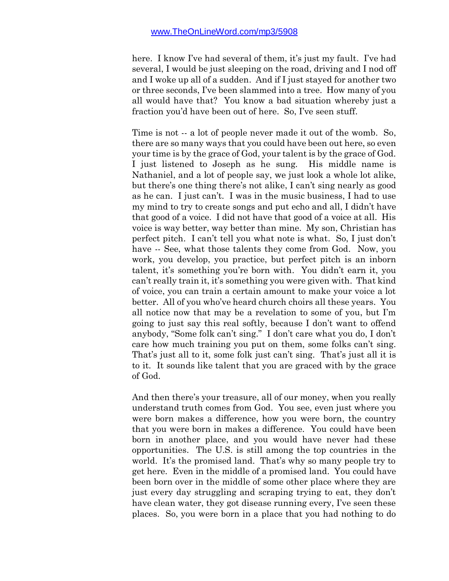here. I know I've had several of them, it's just my fault. I've had several, I would be just sleeping on the road, driving and I nod off and I woke up all of a sudden. And if I just stayed for another two or three seconds, I've been slammed into a tree. How many of you all would have that? You know a bad situation whereby just a fraction you'd have been out of here. So, I've seen stuff.

Time is not -- a lot of people never made it out of the womb. So, there are so many ways that you could have been out here, so even your time is by the grace of God, your talent is by the grace of God. I just listened to Joseph as he sung. His middle name is Nathaniel, and a lot of people say, we just look a whole lot alike, but there's one thing there's not alike, I can't sing nearly as good as he can. I just can't. I was in the music business, I had to use my mind to try to create songs and put echo and all, I didn't have that good of a voice. I did not have that good of a voice at all. His voice is way better, way better than mine. My son, Christian has perfect pitch. I can't tell you what note is what. So, I just don't have -- See, what those talents they come from God. Now, you work, you develop, you practice, but perfect pitch is an inborn talent, it's something you're born with. You didn't earn it, you can't really train it, it's something you were given with. That kind of voice, you can train a certain amount to make your voice a lot better. All of you who've heard church choirs all these years. You all notice now that may be a revelation to some of you, but I'm going to just say this real softly, because I don't want to offend anybody, "Some folk can't sing." I don't care what you do, I don't care how much training you put on them, some folks can't sing. That's just all to it, some folk just can't sing. That's just all it is to it. It sounds like talent that you are graced with by the grace of God.

And then there's your treasure, all of our money, when you really understand truth comes from God. You see, even just where you were born makes a difference, how you were born, the country that you were born in makes a difference. You could have been born in another place, and you would have never had these opportunities. The U.S. is still among the top countries in the world. It's the promised land. That's why so many people try to get here. Even in the middle of a promised land. You could have been born over in the middle of some other place where they are just every day struggling and scraping trying to eat, they don't have clean water, they got disease running every, I've seen these places. So, you were born in a place that you had nothing to do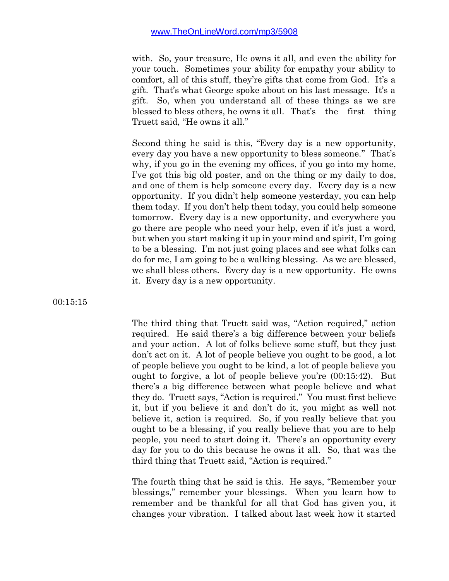with. So, your treasure, He owns it all, and even the ability for your touch. Sometimes your ability for empathy your ability to comfort, all of this stuff, they're gifts that come from God. It's a gift. That's what George spoke about on his last message. It's a gift. So, when you understand all of these things as we are blessed to bless others, he owns it all. That's the first thing Truett said, "He owns it all."

Second thing he said is this, "Every day is a new opportunity, every day you have a new opportunity to bless someone." That's why, if you go in the evening my offices, if you go into my home, I've got this big old poster, and on the thing or my daily to dos, and one of them is help someone every day. Every day is a new opportunity. If you didn't help someone yesterday, you can help them today. If you don't help them today, you could help someone tomorrow. Every day is a new opportunity, and everywhere you go there are people who need your help, even if it's just a word, but when you start making it up in your mind and spirit, I'm going to be a blessing. I'm not just going places and see what folks can do for me, I am going to be a walking blessing. As we are blessed, we shall bless others. Every day is a new opportunity. He owns it. Every day is a new opportunity.

00:15:15

The third thing that Truett said was, "Action required," action required. He said there's a big difference between your beliefs and your action. A lot of folks believe some stuff, but they just don't act on it. A lot of people believe you ought to be good, a lot of people believe you ought to be kind, a lot of people believe you ought to forgive, a lot of people believe you're (00:15:42). But there's a big difference between what people believe and what they do. Truett says, "Action is required." You must first believe it, but if you believe it and don't do it, you might as well not believe it, action is required. So, if you really believe that you ought to be a blessing, if you really believe that you are to help people, you need to start doing it. There's an opportunity every day for you to do this because he owns it all. So, that was the third thing that Truett said, "Action is required."

The fourth thing that he said is this. He says, "Remember your blessings," remember your blessings. When you learn how to remember and be thankful for all that God has given you, it changes your vibration. I talked about last week how it started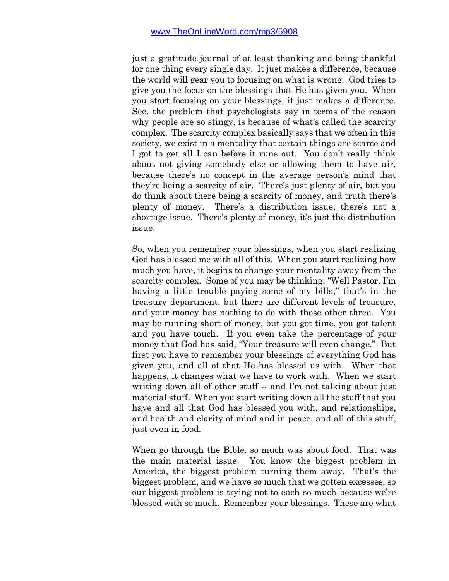just a gratitude journal of at least thanking and being thankful for one thing every single day. It just makes a difference, because the world will gear you to focusing on what is wrong. God tries to give you the focus on the blessings that He has given you. When you start focusing on your blessings, it just makes a difference. See, the problem that psychologists say in terms of the reason why people are so stingy, is because of what's called the scarcity complex. The scarcity complex basically says that we often in this society, we exist in a mentality that certain things are scarce and I got to get all I can before it runs out. You don't really think about not giving somebody else or allowing them to have air, because there's no concept in the average person's mind that they're being a scarcity of air. There's just plenty of air, but you do think about there being a scarcity of money, and truth there's plenty of money. There's a distribution issue, there's not a shortage issue. There's plenty of money, it's just the distribution issue.

So, when you remember your blessings, when you start realizing God has blessed me with all of this. When you start realizing how much you have, it begins to change your mentality away from the scarcity complex. Some of you may be thinking, "Well Pastor, I'm having a little trouble paying some of my bills," that's in the treasury department, but there are different levels of treasure, and your money has nothing to do with those other three. You may be running short of money, but you got time, you got talent and you have touch. If you even take the percentage of your money that God has said, "Your treasure will even change." But first you have to remember your blessings of everything God has given you, and all of that He has blessed us with. When that happens, it changes what we have to work with. When we start writing down all of other stuff -- and I'm not talking about just material stuff. When you start writing down all the stuff that you have and all that God has blessed you with, and relationships, and health and clarity of mind and in peace, and all of this stuff, just even in food.

When go through the Bible, so much was about food. That was the main material issue. You know the biggest problem in America, the biggest problem turning them away. That's the biggest problem, and we have so much that we gotten excesses, so our biggest problem is trying not to each so much because we're blessed with so much. Remember your blessings. These are what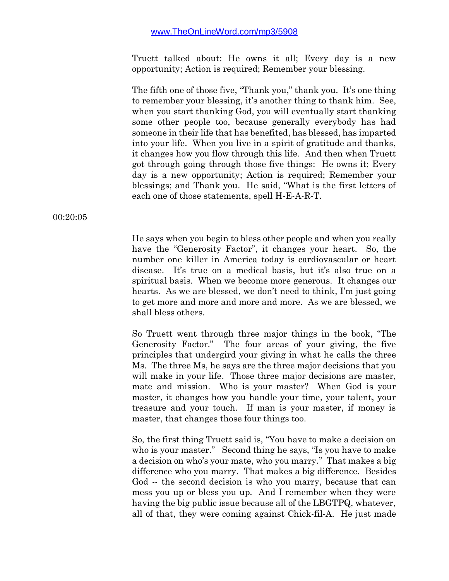Truett talked about: He owns it all; Every day is a new opportunity; Action is required; Remember your blessing.

The fifth one of those five, "Thank you," thank you. It's one thing to remember your blessing, it's another thing to thank him. See, when you start thanking God, you will eventually start thanking some other people too, because generally everybody has had someone in their life that has benefited, has blessed, has imparted into your life. When you live in a spirit of gratitude and thanks, it changes how you flow through this life. And then when Truett got through going through those five things: He owns it; Every day is a new opportunity; Action is required; Remember your blessings; and Thank you. He said, "What is the first letters of each one of those statements, spell H-E-A-R-T.

00:20:05

He says when you begin to bless other people and when you really have the "Generosity Factor", it changes your heart. So, the number one killer in America today is cardiovascular or heart disease. It's true on a medical basis, but it's also true on a spiritual basis. When we become more generous. It changes our hearts. As we are blessed, we don't need to think, I'm just going to get more and more and more and more. As we are blessed, we shall bless others.

So Truett went through three major things in the book, "The Generosity Factor." The four areas of your giving, the five principles that undergird your giving in what he calls the three Ms. The three Ms, he says are the three major decisions that you will make in your life. Those three major decisions are master, mate and mission. Who is your master? When God is your master, it changes how you handle your time, your talent, your treasure and your touch. If man is your master, if money is master, that changes those four things too.

So, the first thing Truett said is, "You have to make a decision on who is your master." Second thing he says, "Is you have to make a decision on who's your mate, who you marry." That makes a big difference who you marry. That makes a big difference. Besides God -- the second decision is who you marry, because that can mess you up or bless you up. And I remember when they were having the big public issue because all of the LBGTPQ, whatever, all of that, they were coming against Chick-fil-A. He just made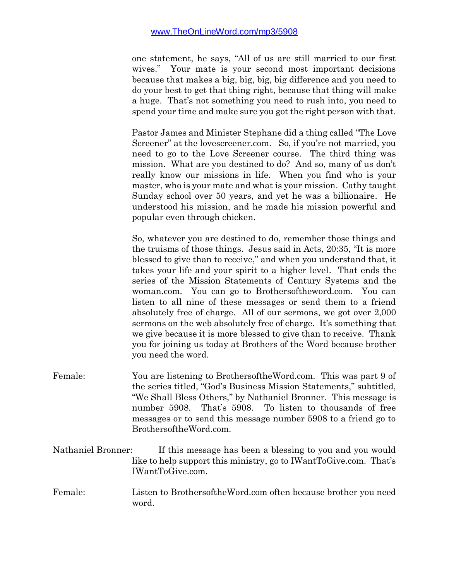one statement, he says, "All of us are still married to our first wives." Your mate is your second most important decisions because that makes a big, big, big, big difference and you need to do your best to get that thing right, because that thing will make a huge. That's not something you need to rush into, you need to spend your time and make sure you got the right person with that.

Pastor James and Minister Stephane did a thing called "The Love Screener" at the lovescreener.com. So, if you're not married, you need to go to the Love Screener course. The third thing was mission. What are you destined to do? And so, many of us don't really know our missions in life. When you find who is your master, who is your mate and what is your mission. Cathy taught Sunday school over 50 years, and yet he was a billionaire. He understood his mission, and he made his mission powerful and popular even through chicken.

So, whatever you are destined to do, remember those things and the truisms of those things. Jesus said in Acts, 20:35, "It is more blessed to give than to receive," and when you understand that, it takes your life and your spirit to a higher level. That ends the series of the Mission Statements of Century Systems and the woman.com. You can go to Brothersoftheword.com. You can listen to all nine of these messages or send them to a friend absolutely free of charge. All of our sermons, we got over 2,000 sermons on the web absolutely free of charge. It's something that we give because it is more blessed to give than to receive. Thank you for joining us today at Brothers of the Word because brother you need the word.

- Female: You are listening to BrothersoftheWord.com. This was part 9 of the series titled, "God's Business Mission Statements," subtitled, "We Shall Bless Others," by Nathaniel Bronner. This message is number 5908. That's 5908. To listen to thousands of free messages or to send this message number 5908 to a friend go to BrothersoftheWord.com.
- Nathaniel Bronner: If this message has been a blessing to you and you would like to help support this ministry, go to IWantToGive.com. That's IWantToGive.com.
- Female: Listen to BrothersoftheWord.com often because brother you need word.